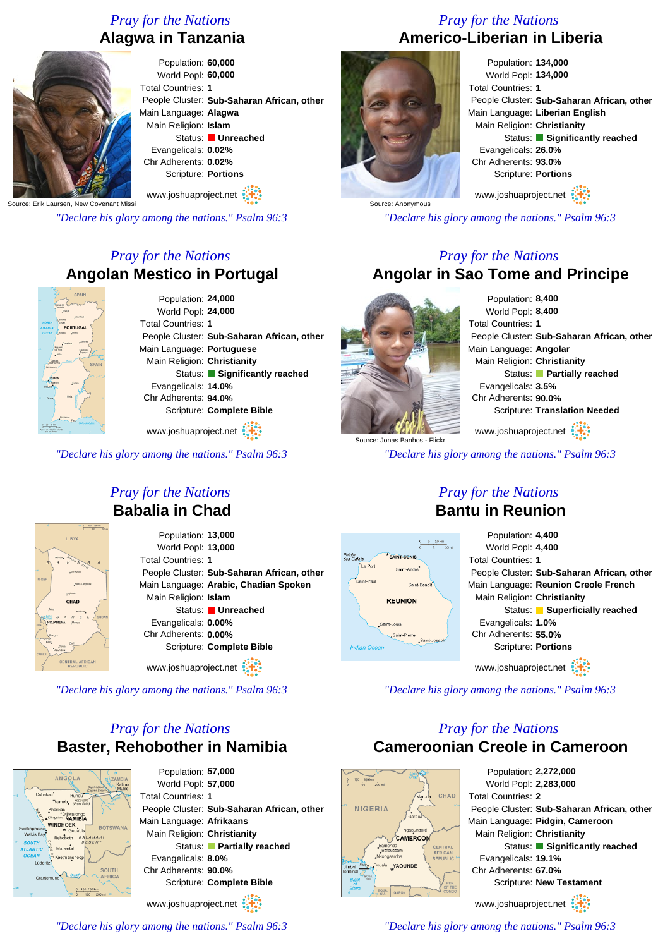# *Pray for the Nations* **Alagwa in Tanzania**



World Popl: **60,000** Total Countries: **1** People Cluster: **Sub-Saharan African, other** Main Language: **Alagwa** Main Religion: **Islam** Status: **Unreached** Evangelicals: **0.02%** Chr Adherents: **0.02%** Scripture: **Portions**

Source: Erik Laursen, New Covenant Missi

*"Declare his glory among the nations." Psalm 96:3*

# *Pray for the Nations* **Angolan Mestico in Portugal**



www.joshuaproject.net

*"Declare his glory among the nations." Psalm 96:3*



# *Pray for the Nations* **Americo-Liberian in Liberia**

Population: **134,000** World Popl: **134,000** Total Countries: **1** People Cluster: **Sub-Saharan African, other** Main Language: **Liberian English** Main Religion: **Christianity** Status: **Significantly reached** Evangelicals: **26.0%** Chr Adherents: **93.0%** Scripture: **Portions** www.joshuaproject.net

*"Declare his glory among the nations." Psalm 96:3*

### *Pray for the Nations* **Angolar in Sao Tome and Principe**



Population: **8,400** World Popl: **8,400** Total Countries: **1** People Cluster: **Sub-Saharan African, other** Main Language: **Angolar** Main Religion: **Christianity** Status: **Partially reached** Evangelicals: **3.5%** Chr Adherents: **90.0%** Scripture: **Translation Needed** www.joshuaproject.net

*"Declare his glory among the nations." Psalm 96:3*

# LIBYA

### *Pray for the Nations* **Babalia in Chad**

Population: **13,000** World Popl: **13,000** Total Countries: **1** People Cluster: **Sub-Saharan African, other** Main Language: **Arabic, Chadian Spoken** Main Religion: **Islam** Status: **Unreached** Evangelicals: **0.00%** Chr Adherents: **0.00%** Scripture: **Complete Bible**

www.joshuaproject.net

*"Declare his glory among the nations." Psalm 96:3*

# *Pray for the Nations* **Baster, Rehobother in Namibia**



Population: **57,000** World Popl: **57,000** Total Countries: **1** People Cluster: **Sub-Saharan African, other** Main Language: **Afrikaans** Main Religion: **Christianity** Status: **Partially reached** Evangelicals: **8.0%** Chr Adherents: **90.0%** Scripture: **Complete Bible**

www.joshuaproject.net

*"Declare his glory among the nations." Psalm 96:3*

### *Pray for the Nations* **Bantu in Reunion**



*"Declare his glory among the nations." Psalm 96:3*

# *Pray for the Nations* **Cameroonian Creole in Cameroon**

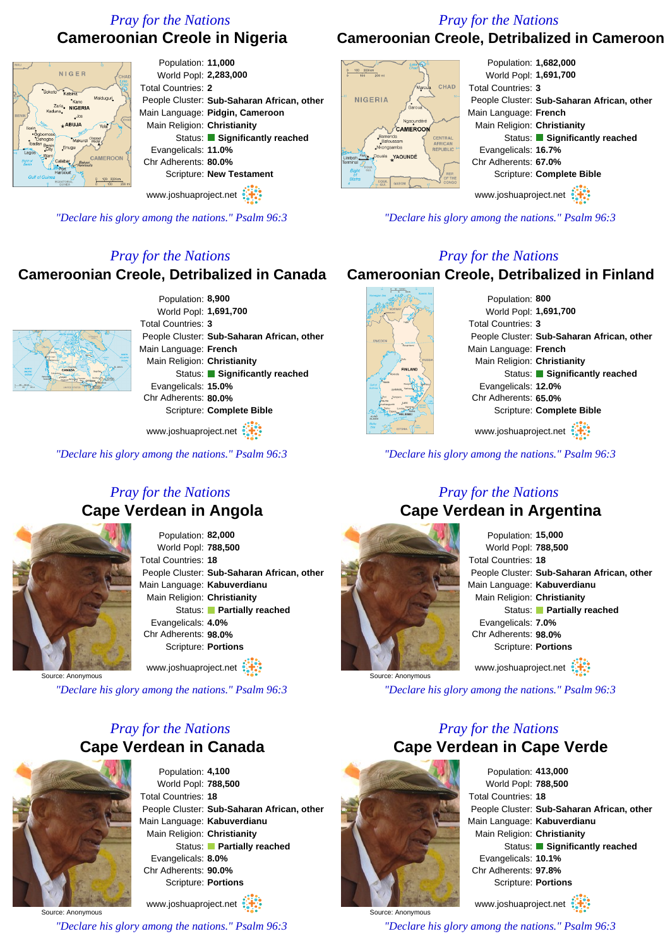# *Pray for the Nations* **Cameroonian Creole in Nigeria**

### *Pray for the Nations* **Cameroonian Creole, Detribalized in Cameroon**





www.joshuaproject.net

*"Declare his glory among the nations." Psalm 96:3*

### *Pray for the Nations*

### **Cameroonian Creole, Detribalized in Canada**



Population: **8,900** World Popl: **1,691,700** Total Countries: **3** People Cluster: **Sub-Saharan African, other** Main Language: **French** Main Religion: **Christianity** Status: **Significantly reached** Evangelicals: **15.0%** Chr Adherents: **80.0%** Scripture: **Complete Bible**

www.joshuaproject.net

*"Declare his glory among the nations." Psalm 96:3*

### *Pray for the Nations* **Cape Verdean in Angola**



Population: **82,000** World Popl: **788,500** Total Countries: **18** People Cluster: **Sub-Saharan African, other** Main Language: **Kabuverdianu** Main Religion: **Christianity** Status: **Partially reached** Evangelicals: **4.0%** Chr Adherents: **98.0%** Scripture: **Portions** www.joshuaproject.net

Source: Anonymous

*"Declare his glory among the nations." Psalm 96:3*

### *Pray for the Nations* **Cape Verdean in Canada**



Population: **4,100** World Popl: **788,500** Total Countries: **18** People Cluster: **Sub-Saharan African, other** Main Language: **Kabuverdianu** Main Religion: **Christianity** Status: **Partially reached** Evangelicals: **8.0%** Chr Adherents: **90.0%** Scripture: **Portions**

Source: Anonymous www.joshuaproject.net *"Declare his glory among the nations." Psalm 96:3*



Population: **1,682,000** World Popl: **1,691,700** Total Countries: **3** People Cluster: **Sub-Saharan African, other** Main Language: **French** Main Religion: **Christianity** Status: **Significantly reached** Evangelicals: **16.7%** Chr Adherents: **67.0%** Scripture: **Complete Bible**

www.joshuaproject.net

*"Declare his glory among the nations." Psalm 96:3*

### *Pray for the Nations*

### **Cameroonian Creole, Detribalized in Finland**



Population: **800** World Popl: **1,691,700** Total Countries: **3** People Cluster: **Sub-Saharan African, other** Main Language: **French** Main Religion: **Christianity** Status: **Significantly reached** Evangelicals: **12.0%** Chr Adherents: **65.0%** Scripture: **Complete Bible** www.joshuaproject.net

*"Declare his glory among the nations." Psalm 96:3*

### *Pray for the Nations* **Cape Verdean in Argentina**



Population: **15,000** World Popl: **788,500** Total Countries: **18** People Cluster: **Sub-Saharan African, other** Main Language: **Kabuverdianu** Main Religion: **Christianity** Status: **Partially reached** Evangelicals: **7.0%** Chr Adherents: **98.0%** Scripture: **Portions** www.joshuaproject.net

*"Declare his glory among the nations." Psalm 96:3*

### *Pray for the Nations* **Cape Verdean in Cape Verde**



Source: Anonymous

Population: **413,000** World Popl: **788,500** Total Countries: **18** People Cluster: **Sub-Saharan African, other** Main Language: **Kabuverdianu** Main Religion: **Christianity** Status: **Significantly reached** Evangelicals: **10.1%** Chr Adherents: **97.8%** Scripture: **Portions**

www.joshuaproject.net

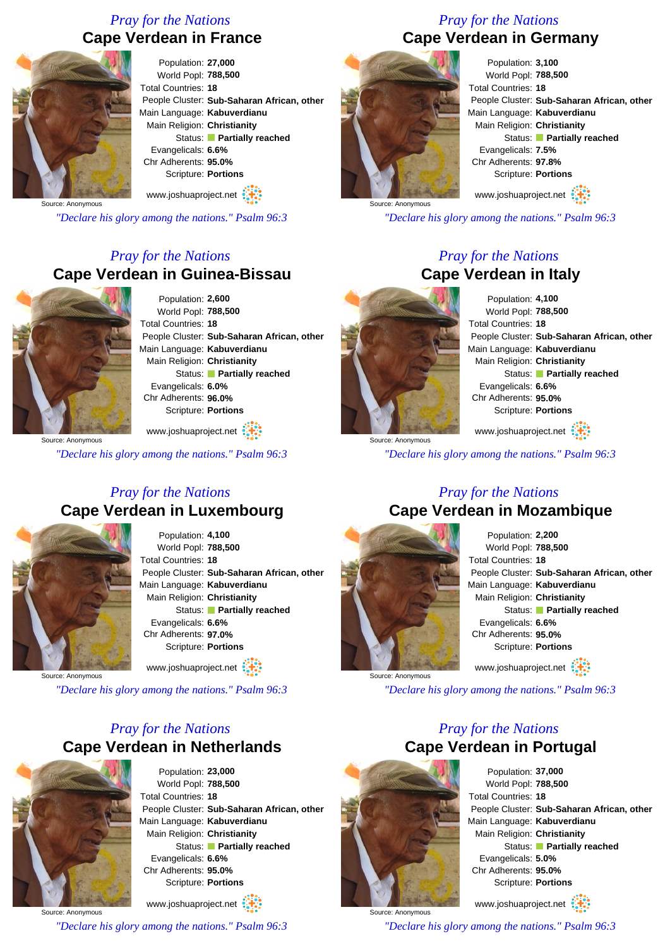# *Pray for the Nations* **Cape Verdean in France**



Population: **27,000** World Popl: **788,500** Total Countries: **18** People Cluster: **Sub-Saharan African, other** Main Language: **Kabuverdianu** Main Religion: **Christianity** Status: **Partially reached** Evangelicals: **6.6%** Chr Adherents: **95.0%** Scripture: **Portions** www.joshuaproject.net

Source: Anonymous

*"Declare his glory among the nations." Psalm 96:3*

# *Pray for the Nations* **Cape Verdean in Guinea-Bissau**



Population: **2,600** World Popl: **788,500** Total Countries: **18** People Cluster: **Sub-Saharan African, other** Main Language: **Kabuverdianu** Main Religion: **Christianity** Status: **Partially reached** Evangelicals: **6.0%** Chr Adherents: **96.0%** Scripture: **Portions**

Source: Anonymous www.joshuaproject.net

*"Declare his glory among the nations." Psalm 96:3*

### *Pray for the Nations* **Cape Verdean in Luxembourg**



Population: **4,100** World Popl: **788,500** Total Countries: **18** People Cluster: **Sub-Saharan African, other** Main Language: **Kabuverdianu** Main Religion: **Christianity** Status: **Partially reached** Evangelicals: **6.6%** Chr Adherents: **97.0%** Scripture: **Portions** www.joshuaproject.net

Anonymous

*"Declare his glory among the nations." Psalm 96:3*

# *Pray for the Nations* **Cape Verdean in Netherlands**



Population: **23,000** World Popl: **788,500** Total Countries: **18** People Cluster: **Sub-Saharan African, other** Main Language: **Kabuverdianu** Main Religion: **Christianity** Status: **Partially reached** Evangelicals: **6.6%** Chr Adherents: **95.0%** Scripture: **Portions**

Source: Anonymous www.joshuaproject.net *"Declare his glory among the nations." Psalm 96:3*

### *Pray for the Nations* **Cape Verdean in Germany**



Population: **3,100** World Popl: **788,500** Total Countries: **18** People Cluster: **Sub-Saharan African, other** Main Language: **Kabuverdianu** Main Religion: **Christianity** Status: **Partially reached** Evangelicals: **7.5%** Chr Adherents: **97.8%** Scripture: **Portions**

www.joshuaproject.net

*"Declare his glory among the nations." Psalm 96:3*

### *Pray for the Nations* **Cape Verdean in Italy**



Population: **4,100** World Popl: **788,500** Total Countries: **18** People Cluster: **Sub-Saharan African, other** Main Language: **Kabuverdianu** Main Religion: **Christianity** Status: **Partially reached** Evangelicals: **6.6%** Chr Adherents: **95.0%** Scripture: **Portions** www.joshuaproject.net

Source: Anonymous

*"Declare his glory among the nations." Psalm 96:3*

### *Pray for the Nations* **Cape Verdean in Mozambique**



Population: **2,200** World Popl: **788,500** Total Countries: **18** People Cluster: **Sub-Saharan African, other** Main Language: **Kabuverdianu** Main Religion: **Christianity** Status: **Partially reached** Evangelicals: **6.6%** Chr Adherents: **95.0%** Scripture: **Portions** www.joshuaproject.net

*"Declare his glory among the nations." Psalm 96:3*

### *Pray for the Nations* **Cape Verdean in Portugal**



Source: Anonymous

Population: **37,000** World Popl: **788,500** Total Countries: **18** People Cluster: **Sub-Saharan African, other** Main Language: **Kabuverdianu** Main Religion: **Christianity** Status: **Partially reached** Evangelicals: **5.0%** Chr Adherents: **95.0%** Scripture: **Portions**

www.joshuaproject.net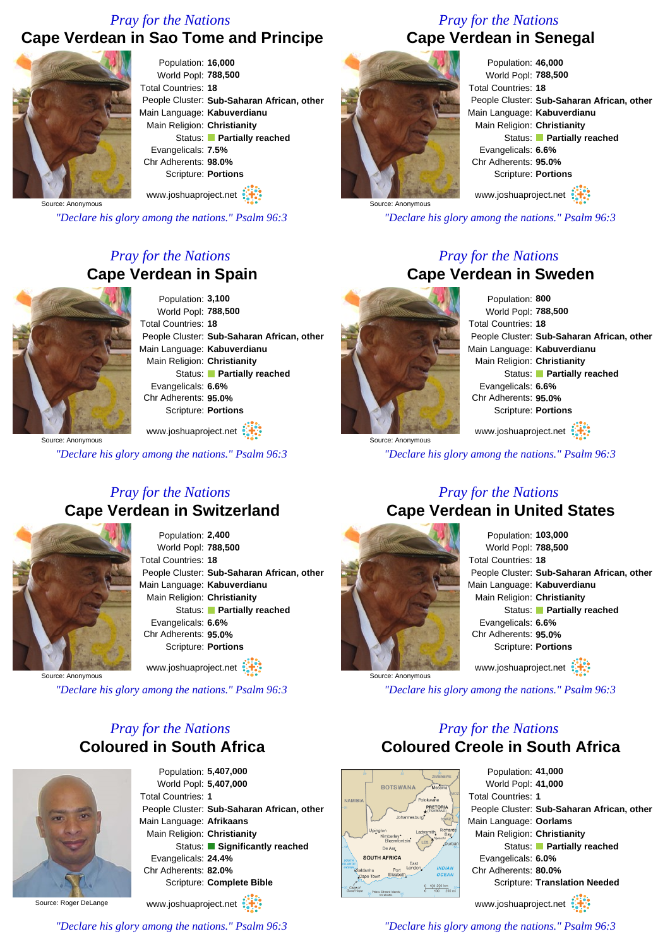### *Pray for the Nations*

# **Cape Verdean in Sao Tome and Principe**



Population: **16,000** World Popl: **788,500** Total Countries: **18** People Cluster: **Sub-Saharan African, other** Main Language: **Kabuverdianu** Main Religion: **Christianity** Status: **Partially reached** Evangelicals: **7.5%** Chr Adherents: **98.0%** Scripture: **Portions**

Source: Anonymous www.joshuaproject.net

*"Declare his glory among the nations." Psalm 96:3*

## *Pray for the Nations* **Cape Verdean in Spain**



Population: **3,100** World Popl: **788,500** Total Countries: **18** People Cluster: **Sub-Saharan African, other** Main Language: **Kabuverdianu** Main Religion: **Christianity** Status: **Partially reached** Evangelicals: **6.6%** Chr Adherents: **95.0%** Scripture: **Portions**

Source: Anonymous www.joshuaproject.net

*"Declare his glory among the nations." Psalm 96:3*

### *Pray for the Nations* **Cape Verdean in Switzerland**



Population: **2,400** World Popl: **788,500** Total Countries: **18** People Cluster: **Sub-Saharan African, other** Main Language: **Kabuverdianu** Main Religion: **Christianity** Status: **Partially reached** Evangelicals: **6.6%** Chr Adherents: **95.0%** Scripture: **Portions**

Source: Anonymous

*"Declare his glory among the nations." Psalm 96:3*

### *Pray for the Nations* **Coloured in South Africa**



Population: **5,407,000** World Popl: **5,407,000** Total Countries: **1** People Cluster: **Sub-Saharan African, other** Main Language: **Afrikaans** Main Religion: **Christianity** Status: **Significantly reached** Evangelicals: **24.4%** Chr Adherents: **82.0%** Scripture: **Complete Bible** www.joshuaproject.net

Source: Roger DeLange

www.joshuaproject.net

*Pray for the Nations* **Cape Verdean in Senegal**



Population: **46,000** World Popl: **788,500** Total Countries: **18** People Cluster: **Sub-Saharan African, other** Main Language: **Kabuverdianu** Main Religion: **Christianity** Status: **Partially reached** Evangelicals: **6.6%** Chr Adherents: **95.0%** Scripture: **Portions** www.joshuaproject.net

*"Declare his glory among the nations." Psalm 96:3*

### *Pray for the Nations* **Cape Verdean in Sweden**



Source: Anonymous

Source: Anonymous

Population: **800** World Popl: **788,500** Total Countries: **18** People Cluster: **Sub-Saharan African, other** Main Language: **Kabuverdianu** Main Religion: **Christianity** Status: **Partially reached** Evangelicals: **6.6%** Chr Adherents: **95.0%** Scripture: **Portions** www.joshuaproject.net

*"Declare his glory among the nations." Psalm 96:3*

### *Pray for the Nations* **Cape Verdean in United States**



Population: **103,000** World Popl: **788,500** Total Countries: **18** People Cluster: **Sub-Saharan African, other** Main Language: **Kabuverdianu** Main Religion: **Christianity** Status: **Partially reached** Evangelicals: **6.6%** Chr Adherents: **95.0%** Scripture: **Portions** www.joshuaproject.net

*"Declare his glory among the nations." Psalm 96:3*

### *Pray for the Nations* **Coloured Creole in South Africa**



Population: **41,000** World Popl: **41,000** Total Countries: **1** People Cluster: **Sub-Saharan African, other** Main Language: **Oorlams** Main Religion: **Christianity** Status: **Partially reached** Evangelicals: **6.0%** Chr Adherents: **80.0%** Scripture: **Translation Needed** www.joshuaproject.net

*"Declare his glory among the nations." Psalm 96:3*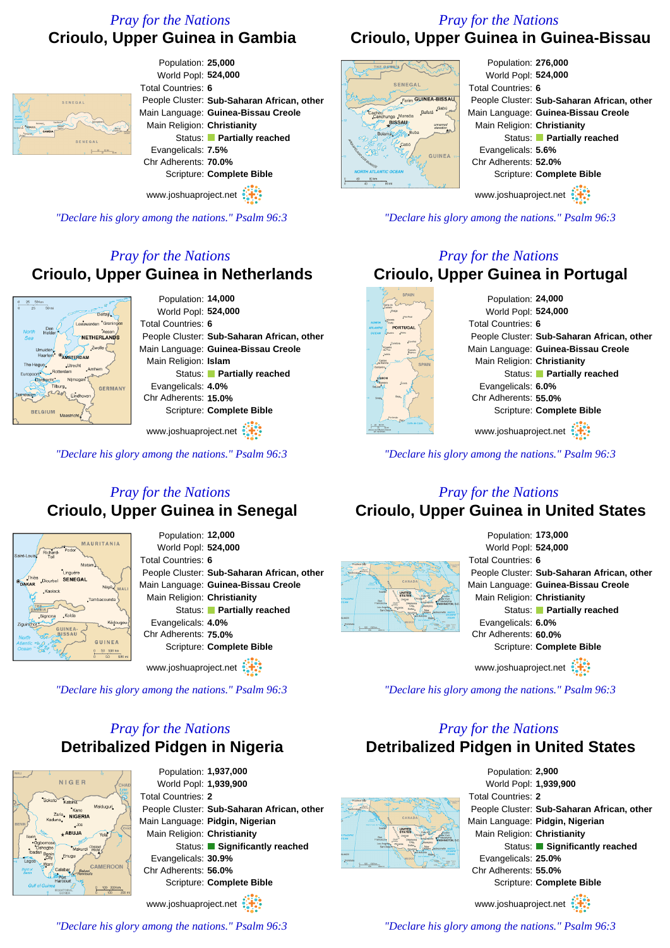# *Pray for the Nations* **Crioulo, Upper Guinea in Gambia**

Total Countries: **6**

Population: **25,000** World Popl: **524,000**

Main Religion: **Christianity**

Evangelicals: **7.5%** Chr Adherents: **70.0%**

People Cluster: **Sub-Saharan African, other** Main Language: **Guinea-Bissau Creole**

Status: **Partially reached**

Scripture: **Complete Bible**

### *Pray for the Nations* **Crioulo, Upper Guinea in Guinea-Bissau**



Population: **276,000** World Popl: **524,000** Total Countries: **6** People Cluster: **Sub-Saharan African, other** Main Language: **Guinea-Bissau Creole** Main Religion: **Christianity** Status: **Partially reached** Evangelicals: **5.6%** Chr Adherents: **52.0%** Scripture: **Complete Bible** www.joshuaproject.net

*"Declare his glory among the nations." Psalm 96:3*

### *Pray for the Nations* **Crioulo, Upper Guinea in Portugal**

Population: **24,000** World Popl: **524,000** Total Countries: **6** People Cluster: **Sub-Saharan African, other** Main Language: **Guinea-Bissau Creole** Main Religion: **Christianity** Status: **Partially reached** Evangelicals: **6.0%** Chr Adherents: **55.0%** Scripture: **Complete Bible** www.joshuaproject.net

*"Declare his glory among the nations." Psalm 96:3*

### *Pray for the Nations* **Crioulo, Upper Guinea in United States**



www.joshuaproject.net

*"Declare his glory among the nations." Psalm 96:3*

# *Pray for the Nations* **Detribalized Pidgen in United States**



### *Pray for the Nations* **Crioulo, Upper Guinea in Senegal**



Population: **12,000** World Popl: **524,000** Total Countries: **6** People Cluster: **Sub-Saharan African, other** Main Language: **Guinea-Bissau Creole** Main Religion: **Christianity** Status: **Partially reached** Evangelicals: **4.0%** Chr Adherents: **75.0%** Scripture: **Complete Bible**

www.joshuaproject.net

*"Declare his glory among the nations." Psalm 96:3*

# *Pray for the Nations* **Detribalized Pidgen in Nigeria**



Population: **1,937,000** World Popl: **1,939,900** Total Countries: **2** People Cluster: **Sub-Saharan African, other** Main Language: **Pidgin, Nigerian** Main Religion: **Christianity** Status: **Significantly reached** Evangelicals: **30.9%** Chr Adherents: **56.0%** Scripture: **Complete Bible** www.joshuaproject.net

*"Declare his glory among the nations." Psalm 96:3*

*"Declare his glory among the nations." Psalm 96:3*







SENEGAI

Population: **14,000** World Popl: **524,000** Total Countries: **6** People Cluster: **Sub-Saharan African, other** Main Language: **Guinea-Bissau Creole** Main Religion: **Islam** Status: **Partially reached** Evangelicals: **4.0%** Chr Adherents: **15.0%** Scripture: **Complete Bible**

www.joshuaproject.net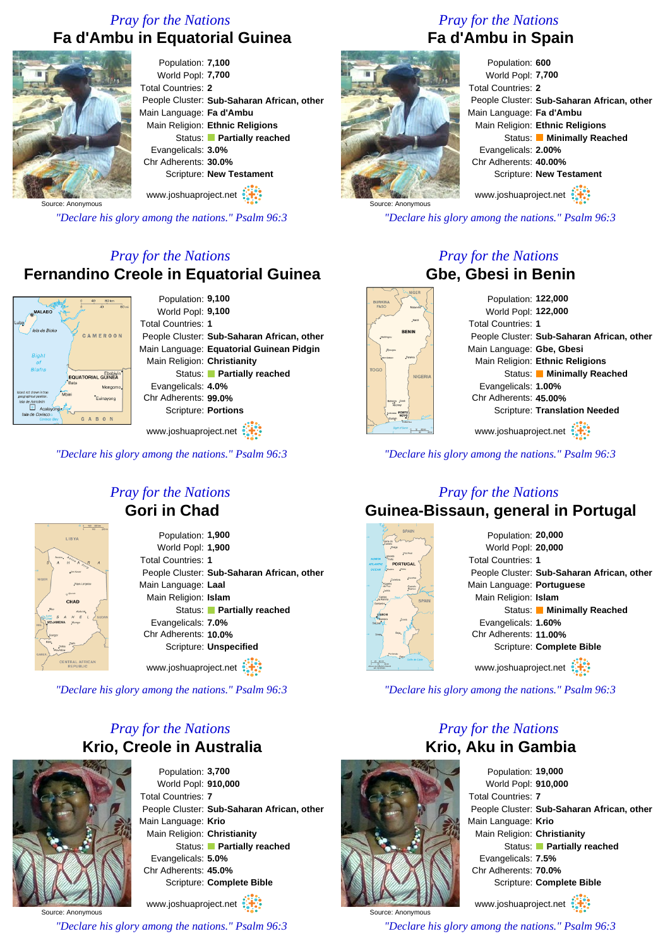# *Pray for the Nations* **Fa d'Ambu in Equatorial Guinea**



Population: **7,100** World Popl: **7,700** Total Countries: **2** People Cluster: **Sub-Saharan African, other** Main Language: **Fa d'Ambu** Main Religion: **Ethnic Religions** Status: **Partially reached** Evangelicals: **3.0%** Chr Adherents: **30.0%** Scripture: **New Testament** www.joshuaproject.net

Source: Anonymous

*"Declare his glory among the nations." Psalm 96:3*

# *Pray for the Nations* **Fernandino Creole in Equatorial Guinea**



Population: **9,100** World Popl: **9,100** Total Countries: **1** People Cluster: **Sub-Saharan African, other** Main Language: **Equatorial Guinean Pidgin** Main Religion: **Christianity** Status: **Partially reached** Evangelicals: **4.0%** Chr Adherents: **99.0%** Scripture: **Portions** www.joshuaproject.net

*"Declare his glory among the nations." Psalm 96:3*



### *Pray for the Nations* **Gori in Chad**

Population: **1,900** World Popl: **1,900** Total Countries: **1** People Cluster: **Sub-Saharan African, other** Main Language: **Laal** Main Religion: **Islam** Status: **Partially reached** Evangelicals: **7.0%** Chr Adherents: **10.0%** Scripture: **Unspecified**

www.joshuaproject.net

*"Declare his glory among the nations." Psalm 96:3*

# *Pray for the Nations* **Krio, Creole in Australia**



Population: **3,700** World Popl: **910,000** Total Countries: **7** People Cluster: **Sub-Saharan African, other** Main Language: **Krio** Main Religion: **Christianity** Status: **Partially reached** Evangelicals: **5.0%** Chr Adherents: **45.0%** Scripture: **Complete Bible** www.joshuaproject.net

Source: Anonymous

*"Declare his glory among the nations." Psalm 96:3*

# *Pray for the Nations* **Fa d'Ambu in Spain**

| Population: 600           |                                            |
|---------------------------|--------------------------------------------|
| World Popl: 7,700         |                                            |
| <b>Total Countries: 2</b> |                                            |
|                           | People Cluster: Sub-Saharan African, other |
| Main Language: Fa d'Ambu  |                                            |
|                           | Main Religion: Ethnic Religions            |
|                           | Status: Minimally Reached                  |
| Evangelicals: 2.00%       |                                            |
| Chr Adherents: 40.00%     |                                            |
|                           | Scripture: New Testament                   |
| www.joshuaproject.net     |                                            |

*"Declare his glory among the nations." Psalm 96:3*

### *Pray for the Nations* **Gbe, Gbesi in Benin**

Population: **122,000** World Popl: **122,000** Total Countries: **1** People Cluster: **Sub-Saharan African, other** Main Language: **Gbe, Gbesi** Main Religion: **Ethnic Religions** Status: **Minimally Reached** Evangelicals: **1.00%** Chr Adherents: **45.00%** Scripture: **Translation Needed** www.joshuaproject.net

*"Declare his glory among the nations." Psalm 96:3*



Source: Anonymous

# *Pray for the Nations*

# **Guinea-Bissaun, general in Portugal**



Population: **20,000** World Popl: **20,000** Total Countries: **1** People Cluster: **Sub-Saharan African, other** Main Language: **Portuguese** Main Religion: **Islam** Status: **Minimally Reached** Evangelicals: **1.60%** Chr Adherents: **11.00%** Scripture: **Complete Bible** www.joshuaproject.net

*"Declare his glory among the nations." Psalm 96:3*

# *Pray for the Nations* **Krio, Aku in Gambia**



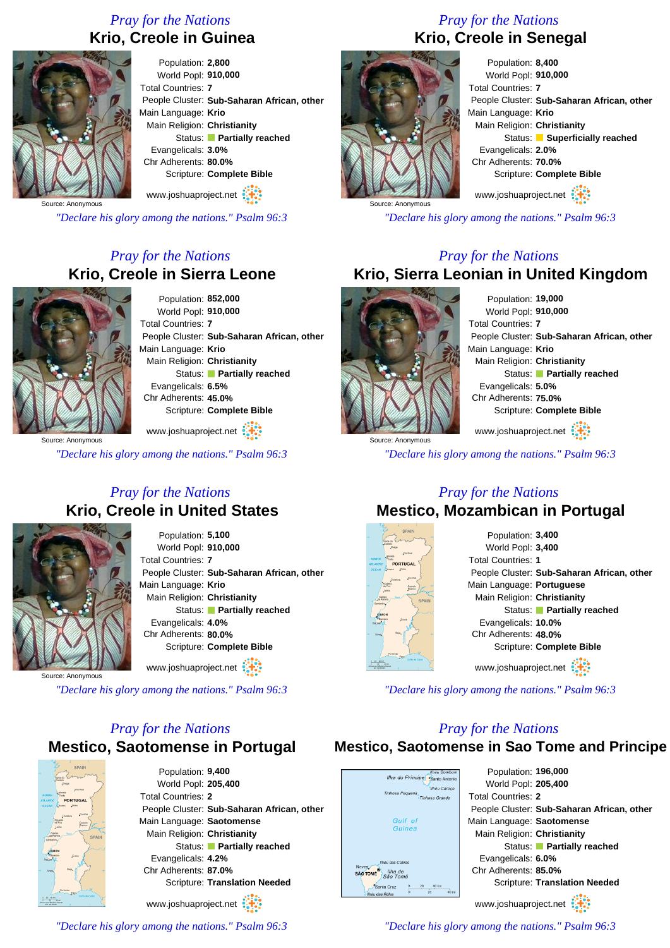# *Pray for the Nations* **Krio, Creole in Guinea**



Population: **2,800** World Popl: **910,000** Total Countries: **7** People Cluster: **Sub-Saharan African, other** Main Language: **Krio** Main Religion: **Christianity** Status: **Partially reached** Evangelicals: **3.0%** Chr Adherents: **80.0%** Scripture: **Complete Bible** www.joshuaproject.net

Source: Anonymous

*"Declare his glory among the nations." Psalm 96:3*

# *Pray for the Nations* **Krio, Creole in Sierra Leone**



Population: **852,000** World Popl: **910,000** Total Countries: **7** People Cluster: **Sub-Saharan African, other** Main Language: **Krio** Main Religion: **Christianity** Status: **Partially reached** Evangelicals: **6.5%** Chr Adherents: **45.0%** Scripture: **Complete Bible**

Source: Anonymous www.joshuaproject.net

*"Declare his glory among the nations." Psalm 96:3*

### *Pray for the Nations* **Krio, Creole in United States**



Population: **5,100** World Popl: **910,000** Total Countries: **7** People Cluster: **Sub-Saharan African, other** Main Language: **Krio** Main Religion: **Christianity** Status: **Partially reached** Evangelicals: **4.0%** Chr Adherents: **80.0%** Scripture: **Complete Bible** www.joshuaproject.net

Source: Anonymous

*"Declare his glory among the nations." Psalm 96:3*

# *Pray for the Nations* **Mestico, Saotomense in Portugal**



Population: **9,400** World Popl: **205,400** Total Countries: **2** People Cluster: **Sub-Saharan African, other** Main Language: **Saotomense** Main Religion: **Christianity** Status: **Partially reached** Evangelicals: **4.2%** Chr Adherents: **87.0%** Scripture: **Translation Needed**

www.joshuaproject.net

*"Declare his glory among the nations." Psalm 96:3*

# *Pray for the Nations* **Krio, Creole in Senegal**



Population: **8,400** World Popl: **910,000** Total Countries: **7** People Cluster: **Sub-Saharan African, other** Main Language: **Krio** Main Religion: **Christianity** Status: **Superficially reached** Evangelicals: **2.0%** Chr Adherents: **70.0%** Scripture: **Complete Bible** www.joshuaproject.net

*"Declare his glory among the nations." Psalm 96:3*

### *Pray for the Nations* **Krio, Sierra Leonian in United Kingdom**



Population: **19,000** World Popl: **910,000** Total Countries: **7** People Cluster: **Sub-Saharan African, other** Main Language: **Krio** Main Religion: **Christianity** Status: **Partially reached** Evangelicals: **5.0%** Chr Adherents: **75.0%** Scripture: **Complete Bible** www.joshuaproject.net

*"Declare his glory among the nations." Psalm 96:3*

### *Pray for the Nations* **Mestico, Mozambican in Portugal**



Population: **3,400** World Popl: **3,400** Total Countries: **1** People Cluster: **Sub-Saharan African, other** Main Language: **Portuguese** Main Religion: **Christianity** Status: **Partially reached** Evangelicals: **10.0%** Chr Adherents: **48.0%** Scripture: **Complete Bible** www.joshuaproject.net

*"Declare his glory among the nations." Psalm 96:3*

### *Pray for the Nations*

### **Mestico, Saotomense in Sao Tome and Principe**

| <b>Ilhéu Bombom</b><br>Ilha do Principe                | Population: 196,000                        |
|--------------------------------------------------------|--------------------------------------------|
| "Santo Antonio<br><b>Ilhéu Caroco</b>                  | World Popl: 205,400                        |
| Tinhosa Pequena<br>Tinhosa Grande                      | <b>Total Countries: 2</b>                  |
|                                                        | People Cluster: Sub-Saharan African, other |
| Gulf of                                                | Main Language: Saotomense                  |
| Guinea                                                 | Main Religion: Christianity                |
|                                                        | Status: Partially reached                  |
| Ilhéu das Cabras                                       | Evangelicals: 6.0%                         |
| eves.<br>Ilha de<br><b>AO TOMÉ</b><br>São Tomé         | Chr Adherents: 85.0%                       |
| 40 km<br>20<br>Santa Cruz                              | Scripture: Translation Needed              |
| $\overline{20}$<br>40 mi<br>$\circ$<br>Ilhéu das Rôlas |                                            |
|                                                        | www.joshuaproject.net                      |
|                                                        |                                            |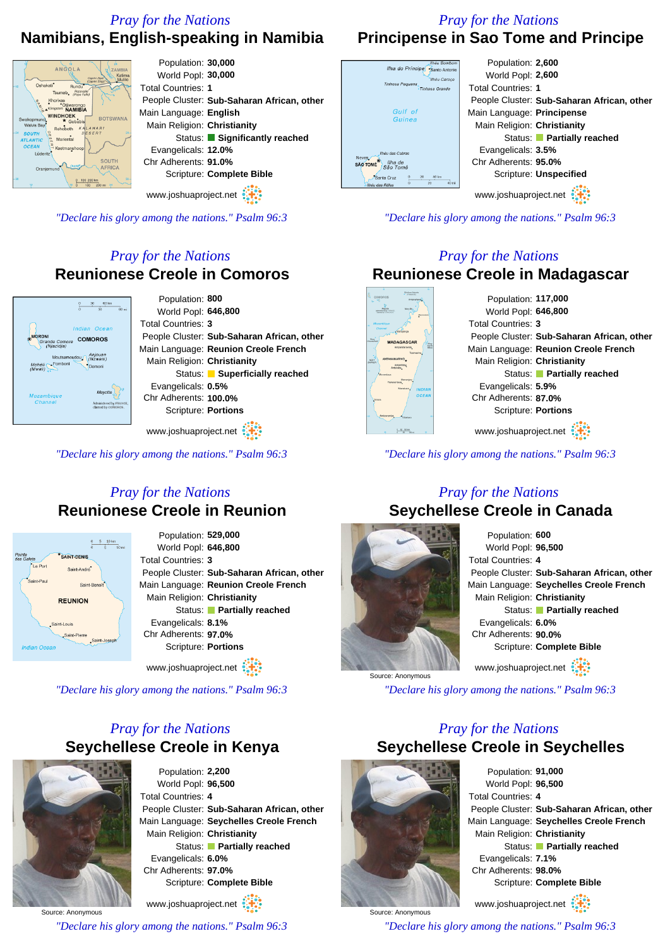# *Pray for the Nations*

### *Pray for the Nations* **Principense in Sao Tome and Principe**

Population: **2,600** World Popl: **2,600** Total Countries: **1**

Main Language: **Principense** Main Religion: **Christianity**

Scripture: **Unspecified** www.joshuaproject.net

Evangelicals: **3.5%** Chr Adherents: **95.0%**

*"Declare his glory among the nations." Psalm 96:3*

*Pray for the Nations*

People Cluster: **Sub-Saharan African, other**

Status: **Partially reached**

# **Namibians, English-speaking in Namibia**

### Population: **30,000** ANGOLA World Popl: **30,000** Total Countries: **1**  $e^{\frac{1}{2}P}{e}$ (Popa Palis<br>
\* Otjiwarongo<br>
\* Otjiwarongo<br>
\* AMIBIA Main Language: **English** WINDHOEK<br> **\*** Gobabis BOTSWANA Main Religion: **Christianity** ental Evangelicals: **12.0%** Chr Adherents: **91.0%** Scripture: **Complete Bible** www.joshuaproject.net

People Cluster: **Sub-Saharan African, other** Status: **Significantly reached** 

*"Declare his glory among the nations." Psalm 96:3*

# *Pray for the Nations* **Reunionese Creole in Comoros**



Population: **800** World Popl: **646,800** Total Countries: **3** People Cluster: **Sub-Saharan African, other** Main Language: **Reunion Creole French** Main Religion: **Christianity** Status: **Superficially reached** Evangelicals: **0.5%** Chr Adherents: **100.0%** Scripture: **Portions**

www.joshuaproject.net

*"Declare his glory among the nations." Psalm 96:3*

### *Pray for the Nations* **Reunionese Creole in Reunion**



Population: **529,000** World Popl: **646,800** Total Countries: **3** People Cluster: **Sub-Saharan African, other** Main Language: **Reunion Creole French** Main Religion: **Christianity** Status: **Partially reached** Evangelicals: **8.1%** Chr Adherents: **97.0%** Scripture: **Portions**

www.joshuaproject.net

*"Declare his glory among the nations." Psalm 96:3*

# *Pray for the Nations* **Seychellese Creole in Kenya**



Population: **2,200** World Popl: **96,500** Total Countries: **4** People Cluster: **Sub-Saharan African, other** Main Language: **Seychelles Creole French** Main Religion: **Christianity** Status: **Partially reached** Evangelicals: **6.0%** Chr Adherents: **97.0%** Scripture: **Complete Bible**

Source: Anonymous www.joshuaproject.net *"Declare his glory among the nations." Psalm 96:3*



llha do Principe Tinhosa Pequena

Gulf of

Guinea

llháu das Cahros Neves<br>SÃO TOMÉ São Tomé Santa Cruz

> **Reunionese Creole in Madagascar** Population: **117,000** World Popl: **646,800** Total Countries: **3** People Cluster: **Sub-Saharan African, other** Main Language: **Reunion Creole French** Main Religion: **Christianity** Status: **Partially reached** Evangelicals: **5.9%** Chr Adherents: **87.0%** Scripture: **Portions**

www.joshuaproject.net

*"Declare his glory among the nations." Psalm 96:3*

### *Pray for the Nations* **Seychellese Creole in Canada**

|                   | Population: 600                            |  |
|-------------------|--------------------------------------------|--|
|                   | World Popl: 96,500                         |  |
|                   | <b>Total Countries: 4</b>                  |  |
|                   | People Cluster: Sub-Saharan African, other |  |
|                   | Main Language: Seychelles Creole French    |  |
|                   | Main Religion: Christianity                |  |
|                   | Status: Partially reached                  |  |
|                   | Evangelicals: 6.0%                         |  |
|                   | Chr Adherents: 90.0%                       |  |
|                   | Scripture: Complete Bible                  |  |
| Courses Announces | www.joshuaproject.net                      |  |
|                   |                                            |  |

*"Declare his glory among the nations." Psalm 96:3*

# *Pray for the Nations* **Seychellese Creole in Seychelles**



Source: Anonymous

Source: Anonymous

Population: **91,000** World Popl: **96,500** Total Countries: **4** People Cluster: **Sub-Saharan African, other** Main Language: **Seychelles Creole French** Main Religion: **Christianity** Status: **Partially reached** Evangelicals: **7.1%** Chr Adherents: **98.0%** Scripture: **Complete Bible** www.joshuaproject.net